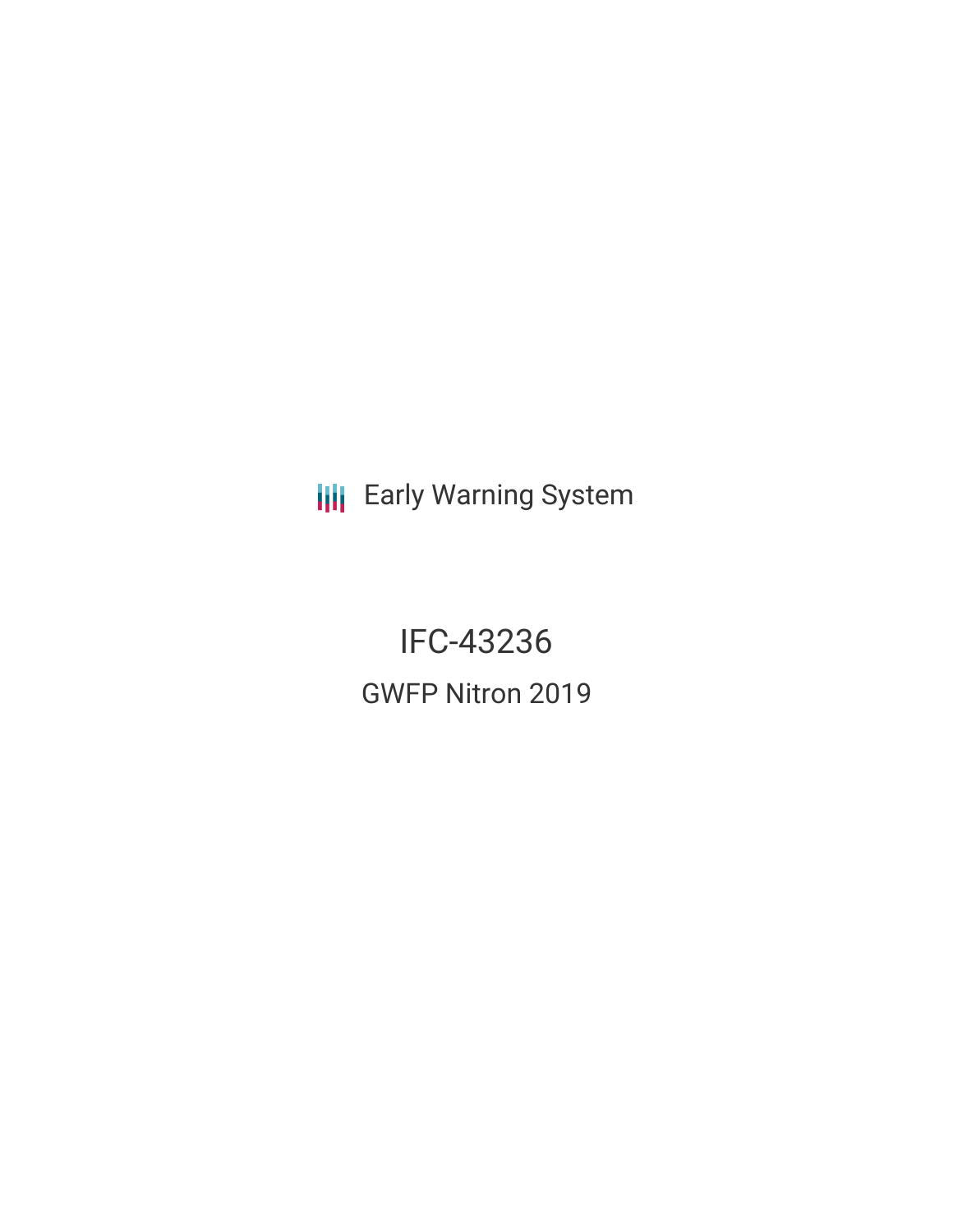**III** Early Warning System

IFC-43236 GWFP Nitron 2019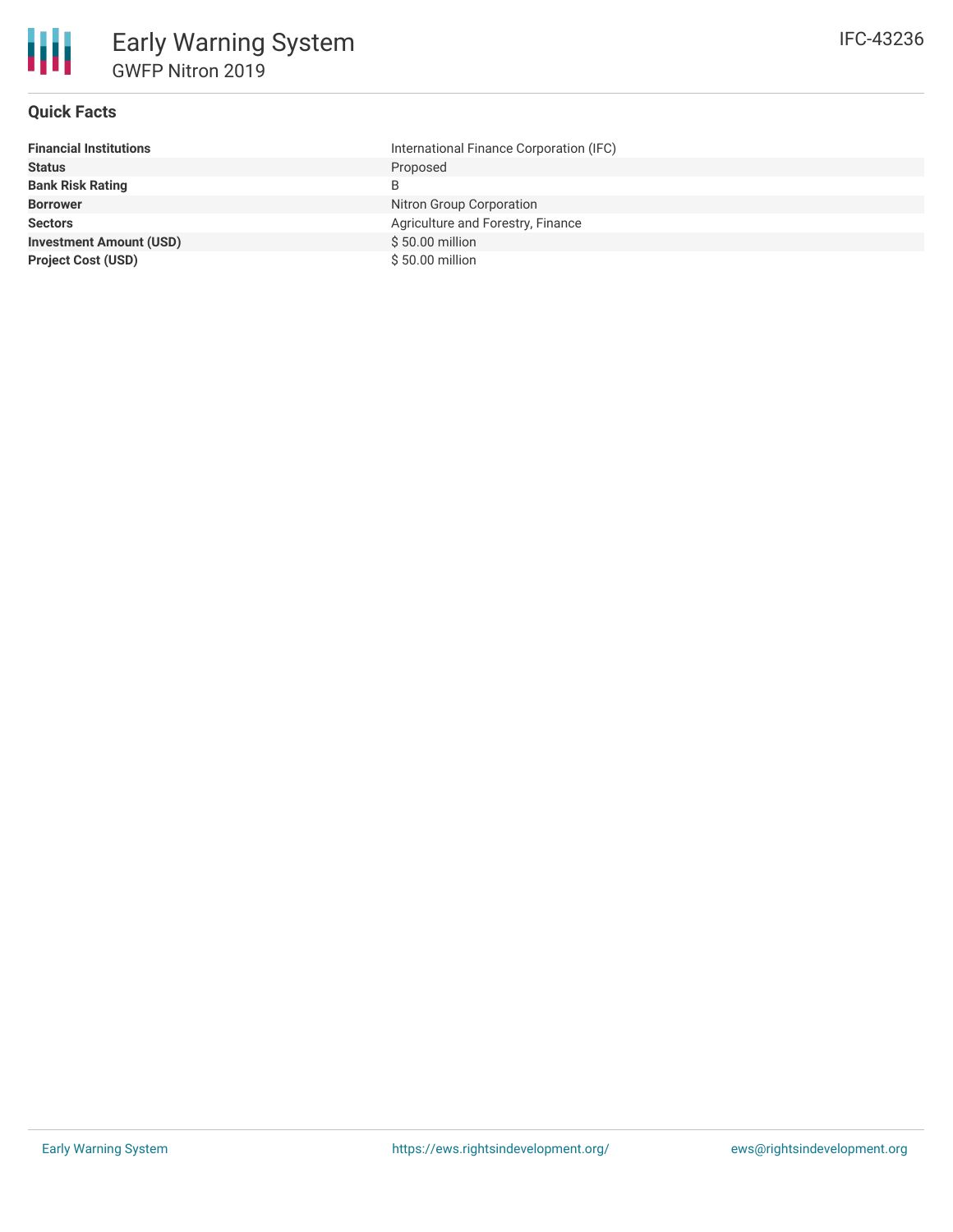

## **Quick Facts**

| <b>Financial Institutions</b>  | International Finance Corporation (IFC) |
|--------------------------------|-----------------------------------------|
| <b>Status</b>                  | Proposed                                |
| <b>Bank Risk Rating</b>        | B                                       |
| <b>Borrower</b>                | Nitron Group Corporation                |
| <b>Sectors</b>                 | Agriculture and Forestry, Finance       |
| <b>Investment Amount (USD)</b> | $$50.00$ million                        |
| <b>Project Cost (USD)</b>      | \$50.00 million                         |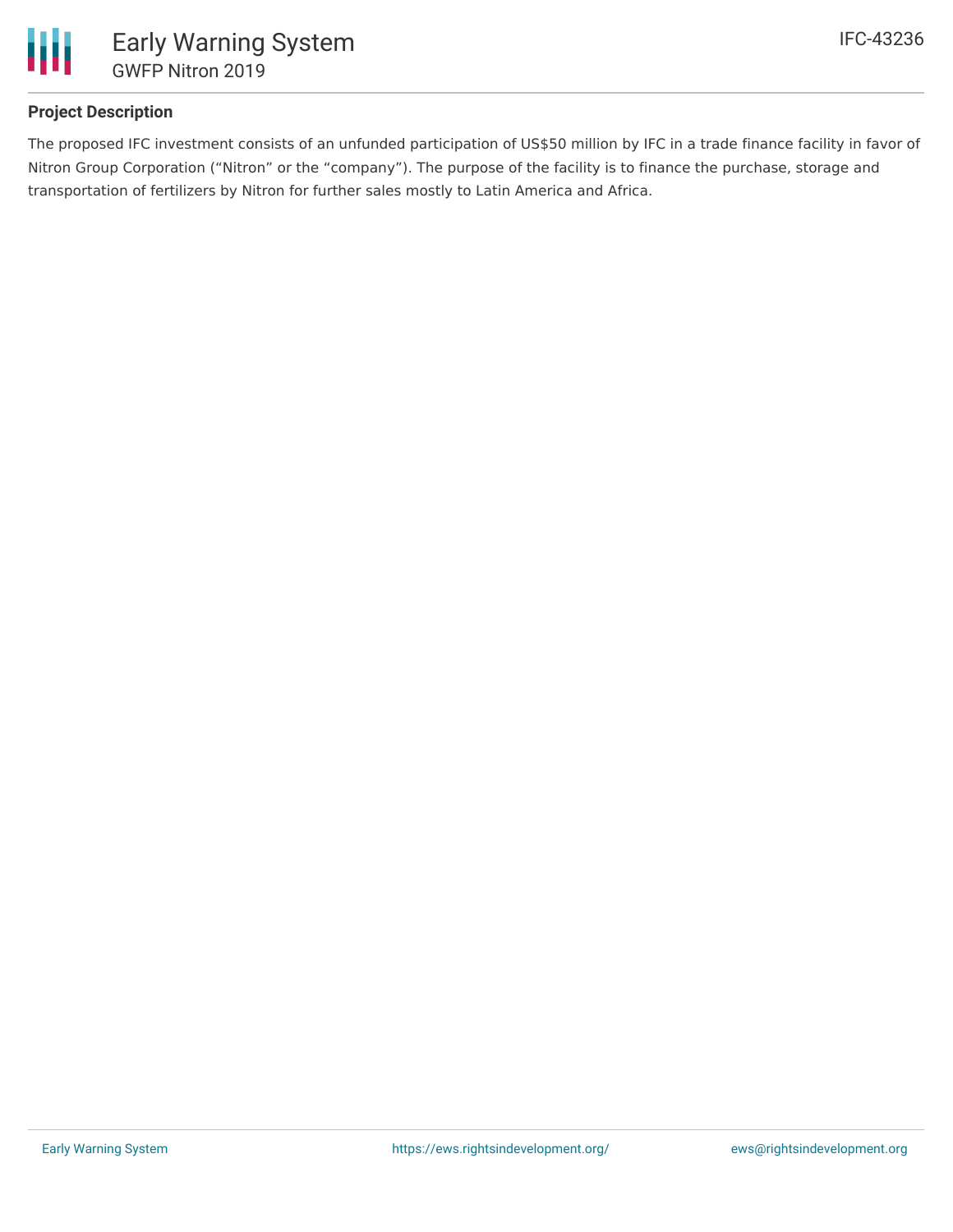

## **Project Description**

The proposed IFC investment consists of an unfunded participation of US\$50 million by IFC in a trade finance facility in favor of Nitron Group Corporation ("Nitron" or the "company"). The purpose of the facility is to finance the purchase, storage and transportation of fertilizers by Nitron for further sales mostly to Latin America and Africa.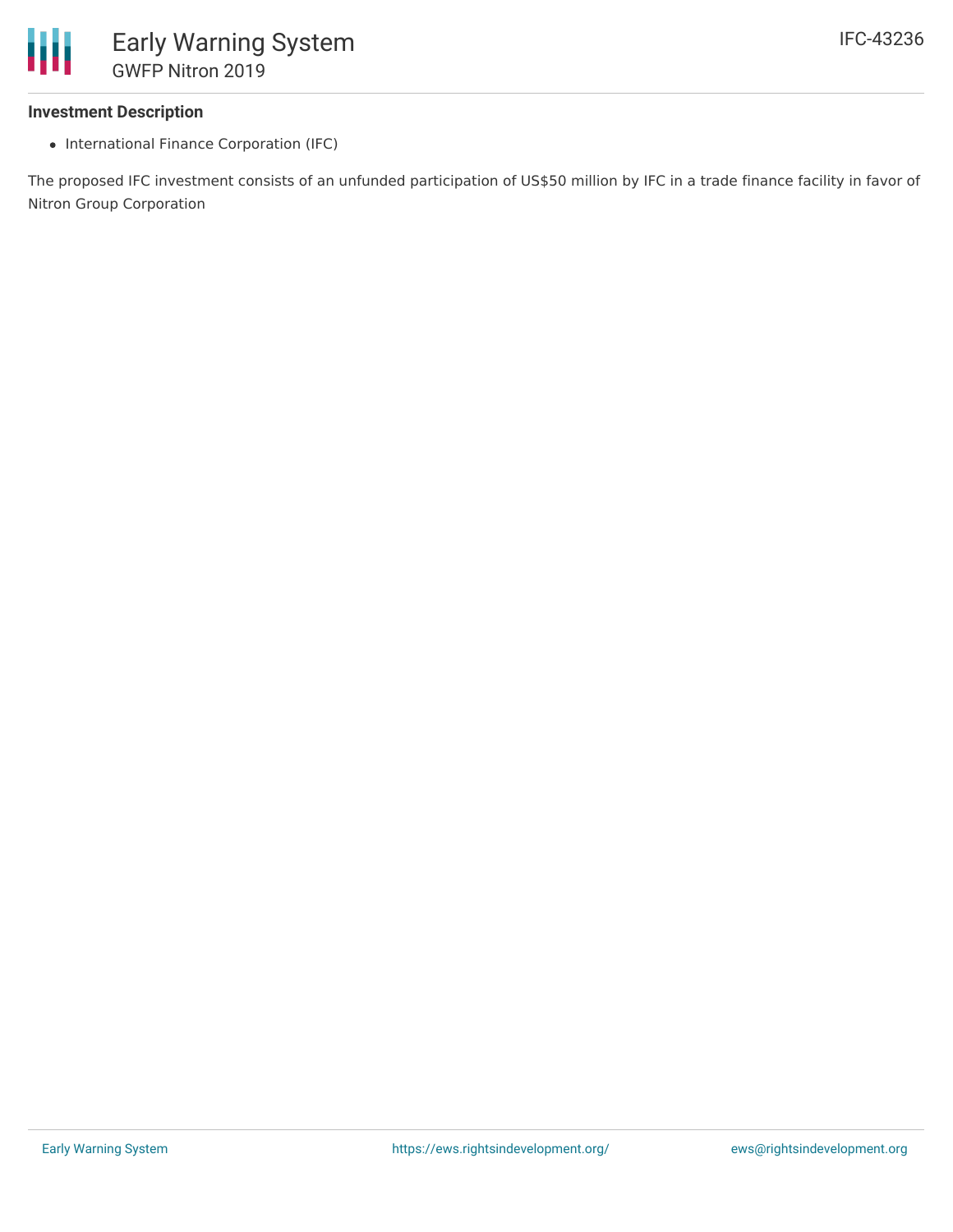#### **Investment Description**

• International Finance Corporation (IFC)

The proposed IFC investment consists of an unfunded participation of US\$50 million by IFC in a trade finance facility in favor of Nitron Group Corporation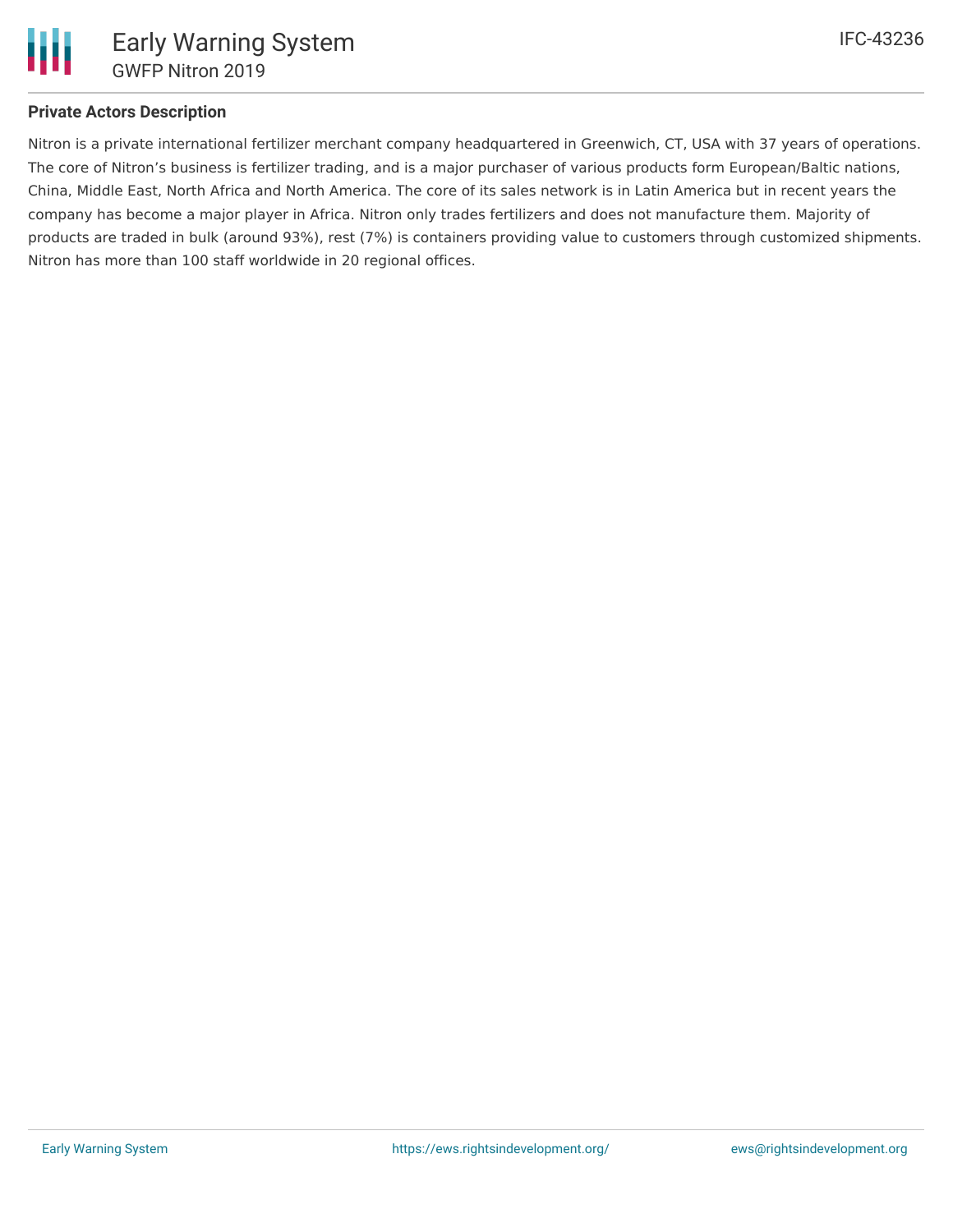

### **Private Actors Description**

Nitron is a private international fertilizer merchant company headquartered in Greenwich, CT, USA with 37 years of operations. The core of Nitron's business is fertilizer trading, and is a major purchaser of various products form European/Baltic nations, China, Middle East, North Africa and North America. The core of its sales network is in Latin America but in recent years the company has become a major player in Africa. Nitron only trades fertilizers and does not manufacture them. Majority of products are traded in bulk (around 93%), rest (7%) is containers providing value to customers through customized shipments. Nitron has more than 100 staff worldwide in 20 regional offices.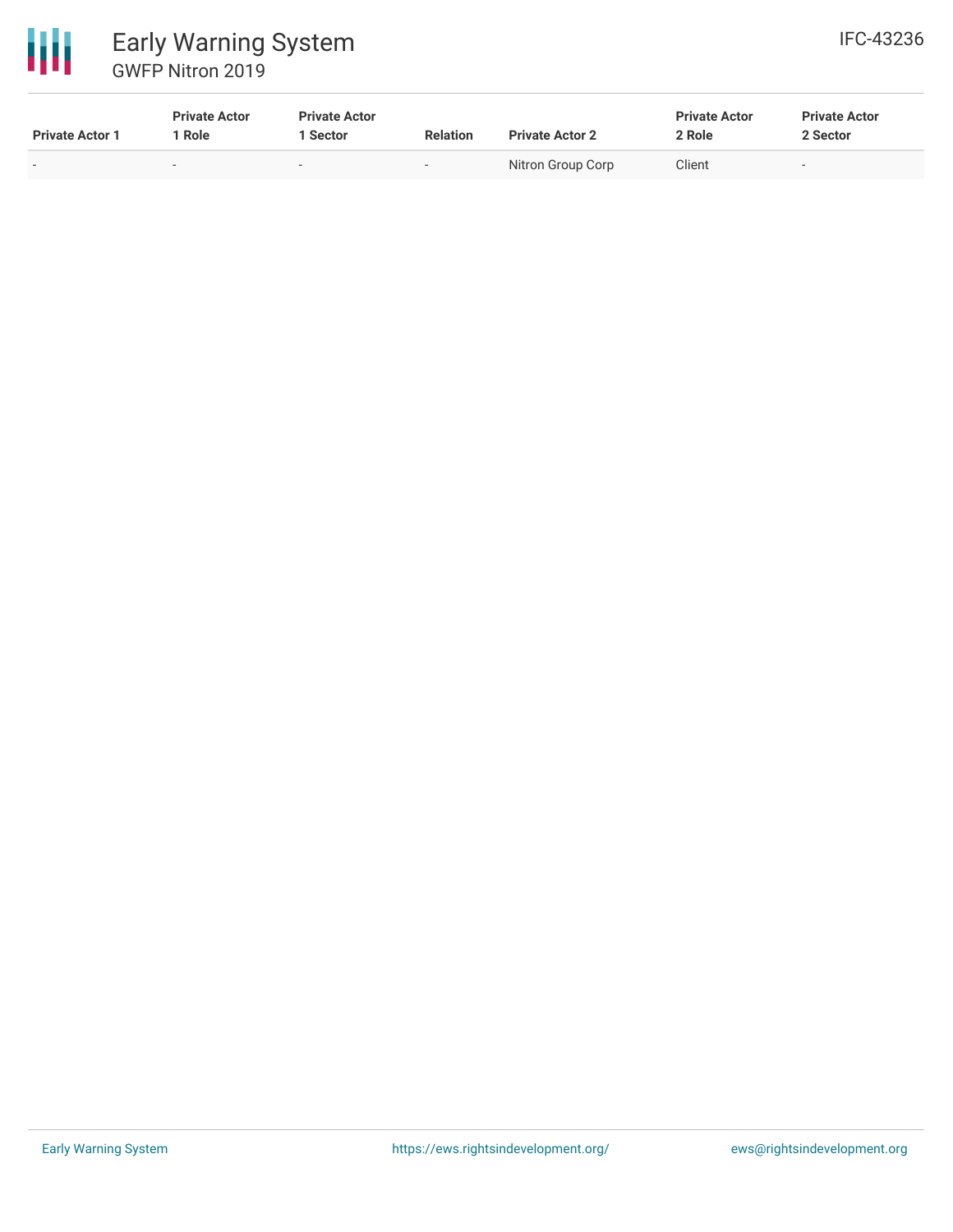

# 冊 Early Warning System GWFP Nitron 2019

| <b>Private Actor 1</b> | <b>Private Actor</b><br>Role | <b>Private Actor</b><br>Sector | <b>Relation</b> | <b>Private Actor 2</b> | <b>Private Actor</b><br>2 Role | <b>Private Actor</b><br>2 Sector |
|------------------------|------------------------------|--------------------------------|-----------------|------------------------|--------------------------------|----------------------------------|
| $\sim$                 |                              | $\overline{\phantom{a}}$       | $\sim$          | Nitron Group Corp      | Client                         | $\sim$                           |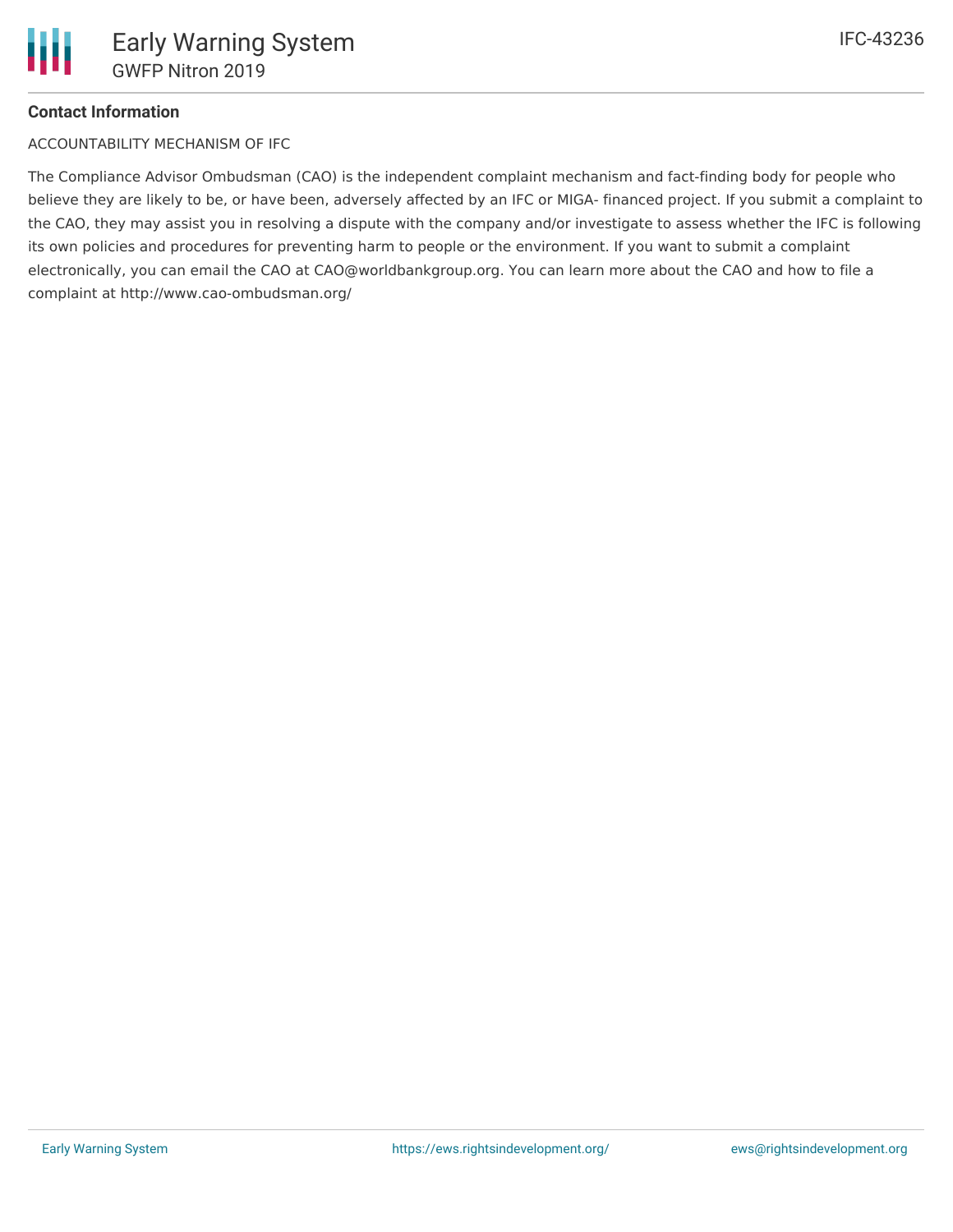# **Contact Information**

ACCOUNTABILITY MECHANISM OF IFC

The Compliance Advisor Ombudsman (CAO) is the independent complaint mechanism and fact-finding body for people who believe they are likely to be, or have been, adversely affected by an IFC or MIGA- financed project. If you submit a complaint to the CAO, they may assist you in resolving a dispute with the company and/or investigate to assess whether the IFC is following its own policies and procedures for preventing harm to people or the environment. If you want to submit a complaint electronically, you can email the CAO at CAO@worldbankgroup.org. You can learn more about the CAO and how to file a complaint at http://www.cao-ombudsman.org/